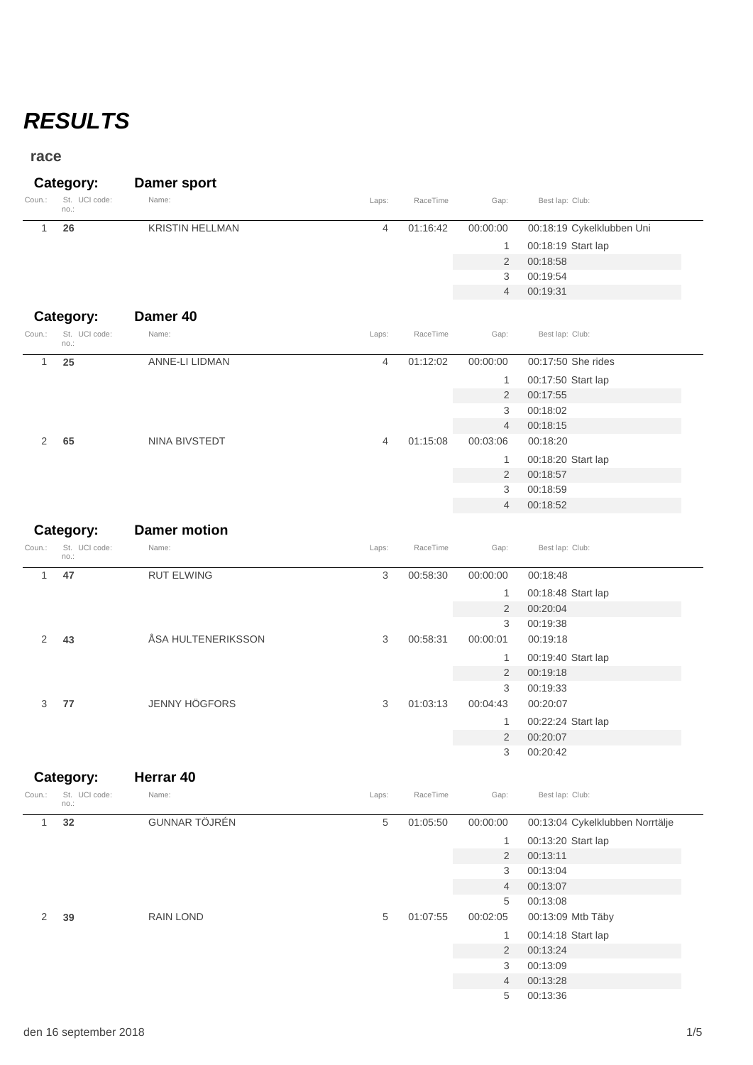# *RESULTS*

#### **race**

|        | Category:             | Damer sport            |       |          |          |                           |
|--------|-----------------------|------------------------|-------|----------|----------|---------------------------|
| Coun.: | St. UCI code:<br>no.: | Name:                  | Laps: | RaceTime | Gap:     | Best lap: Club:           |
|        | 26                    | <b>KRISTIN HELLMAN</b> | 4     | 01:16:42 | 00:00:00 | 00:18:19 Cykelklubben Uni |
|        |                       |                        |       |          |          | 00:18:19 Start lap        |
|        |                       |                        |       |          | 2        | 00:18:58                  |
|        |                       |                        |       |          |          | 00:19:54                  |

## **Category: Damer 40** St. Coun.: UCI code: Name: Laps: RaceTime Gap: Best lap: Club: no.:

|   | no.: |                |                                                  |          |                |                    |
|---|------|----------------|--------------------------------------------------|----------|----------------|--------------------|
|   | 25   | ANNE-LI LIDMAN | 4                                                | 01:12:02 | 00:00:00       | 00:17:50 She rides |
|   |      |                |                                                  |          |                | 00:17:50 Start lap |
|   |      |                |                                                  | 2        | 00:17:55       |                    |
|   |      |                |                                                  | 3        | 00:18:02       |                    |
|   |      |                |                                                  |          | $\overline{4}$ | 00:18:15           |
| 2 | 65   | NINA BIVSTEDT  | 4                                                | 01:15:08 | 00:03:06       | 00:18:20           |
|   |      |                | 00:18:20 Start lap<br>$\overline{2}$<br>00:18:57 |          |                |                    |
|   |      |                |                                                  |          |                |                    |
|   |      |                |                                                  |          | 3              | 00:18:59           |

 00:18:58 00:19:54 00:19:31

00:18:52

| Category: |                       | <b>Damer motion</b>  |       |          |                |                    |
|-----------|-----------------------|----------------------|-------|----------|----------------|--------------------|
| Coun.:    | St. UCI code:<br>no.: | Name:                | Laps: | RaceTime | Gap:           | Best lap: Club:    |
|           | 47                    | <b>RUT ELWING</b>    | 3     | 00:58:30 | 00:00:00       | 00:18:48           |
|           |                       |                      |       |          | 1              | 00:18:48 Start lap |
|           |                       |                      |       |          | 2              | 00:20:04           |
|           |                       |                      |       |          | 3              | 00:19:38           |
| 2         | 43                    | ÅSA HULTENERIKSSON   | 3     | 00:58:31 | 00:00:01       | 00:19:18           |
|           |                       |                      |       |          | 1              | 00:19:40 Start lap |
|           |                       |                      |       |          | 2              | 00:19:18           |
|           |                       |                      |       |          | 3              | 00:19:33           |
| 3         | 77                    | <b>JENNY HÖGFORS</b> | 3     | 01:03:13 | 00:04:43       | 00:20:07           |
|           |                       |                      |       |          | 1              | 00:22:24 Start lap |
|           |                       |                      |       |          | $\overline{2}$ | 00:20:07           |
|           |                       |                      |       |          | 3              | 00:20:42           |

| Category: |                       | Herrar 40        |               |          |                |                                 |
|-----------|-----------------------|------------------|---------------|----------|----------------|---------------------------------|
| Coun.:    | St. UCI code:<br>no.: | Name:            | Laps:         | RaceTime | Gap:           | Best lap: Club:                 |
| 1         | 32                    | GUNNAR TÖJRÉN    | 5             | 01:05:50 | 00:00:00       | 00:13:04 Cykelklubben Norrtälje |
|           |                       |                  |               |          | 1              | 00:13:20 Start lap              |
|           |                       |                  |               |          | $\overline{2}$ | 00:13:11                        |
|           |                       |                  | 00:13:04<br>3 |          |                |                                 |
|           |                       |                  |               |          | $\overline{4}$ | 00:13:07                        |
|           |                       |                  |               |          | 5              | 00:13:08                        |
| 2         | 39                    | <b>RAIN LOND</b> | 5             | 01:07:55 | 00:02:05       | 00:13:09 Mtb Täby               |
|           |                       |                  |               |          | 1              | 00:14:18 Start lap              |
|           |                       |                  |               |          | $\overline{2}$ | 00:13:24                        |
|           |                       |                  | 00:13:09<br>3 |          |                |                                 |
|           |                       |                  |               |          | $\overline{4}$ | 00:13:28                        |
|           |                       |                  |               | 5        | 00:13:36       |                                 |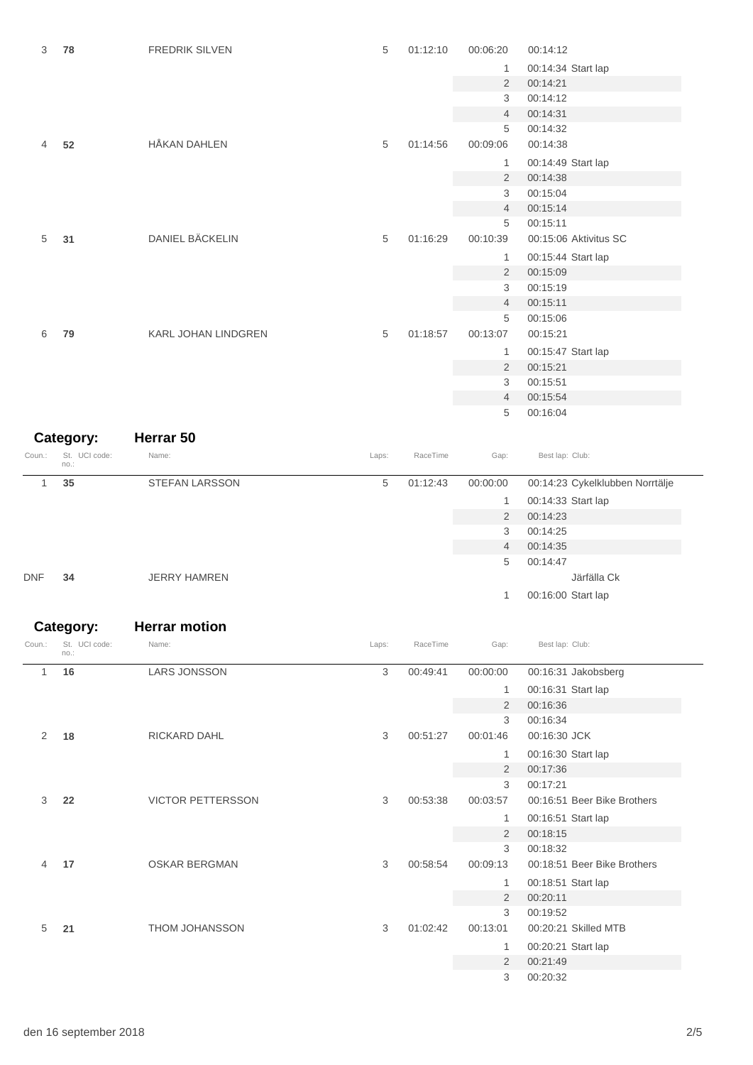| 3      | 78                    | FREDRIK SILVEN      | 5     | 01:12:10 | 00:06:20       | 00:14:12                        |
|--------|-----------------------|---------------------|-------|----------|----------------|---------------------------------|
|        |                       |                     |       |          | 1              | 00:14:34 Start lap              |
|        |                       |                     |       |          | 2              | 00:14:21                        |
|        |                       |                     |       |          | 3              | 00:14:12                        |
|        |                       |                     |       |          | $\overline{4}$ | 00:14:31                        |
|        |                       |                     |       |          | 5              | 00:14:32                        |
| 4      | 52                    | <b>HÅKAN DAHLEN</b> | 5     | 01:14:56 | 00:09:06       | 00:14:38                        |
|        |                       |                     |       |          | 1              | 00:14:49 Start lap              |
|        |                       |                     |       |          | $\overline{2}$ | 00:14:38                        |
|        |                       |                     |       |          | 3              | 00:15:04                        |
|        |                       |                     |       |          | $\overline{4}$ | 00:15:14                        |
|        |                       |                     |       |          | 5              | 00:15:11                        |
| 5      | 31                    | DANIEL BÄCKELIN     | 5     | 01:16:29 | 00:10:39       | 00:15:06 Aktivitus SC           |
|        |                       |                     |       |          | 1              | 00:15:44 Start lap              |
|        |                       |                     |       |          | 2              | 00:15:09                        |
|        |                       |                     |       |          | 3              | 00:15:19                        |
|        |                       |                     |       |          | $\overline{4}$ | 00:15:11                        |
|        |                       |                     |       |          | 5              | 00:15:06                        |
| 6      | 79                    | KARL JOHAN LINDGREN | 5     | 01:18:57 | 00:13:07       | 00:15:21                        |
|        |                       |                     |       |          | 1              | 00:15:47 Start lap              |
|        |                       |                     |       |          | $\overline{2}$ | 00:15:21                        |
|        |                       |                     |       |          | 3              | 00:15:51                        |
|        |                       |                     |       |          | $\overline{4}$ | 00:15:54                        |
|        |                       |                     |       |          | 5              | 00:16:04                        |
|        | Category:             | Herrar 50           |       |          |                |                                 |
|        |                       |                     |       |          |                |                                 |
| Coun.: | St. UCI code:<br>no.: | Name:               | Laps: | RaceTime | Gap:           | Best lap: Club:                 |
| 1      | 35                    | STEFAN LARSSON      | 5     | 01:12:43 | 00:00:00       | 00:14:23 Cykelklubben Norrtälje |
|        |                       |                     |       |          | 1              | 00:14:33 Start lap              |
|        |                       |                     |       |          | 2              | 00:14:23                        |
|        |                       |                     |       |          | 3              | 00:14:25                        |
|        |                       |                     |       |          | 4              | 00:14:35                        |
|        |                       |                     |       |          | 5              | 00:14:47                        |

| DNF | <b>JERRY HAMREN</b> |  |
|-----|---------------------|--|
|     |                     |  |

|            |     |              | 5  | 00:14:47           |             |
|------------|-----|--------------|----|--------------------|-------------|
| <b>DNF</b> | -34 | JERRY HAMREN |    |                    | Järfälla Ck |
|            |     |              | 1. | 00:16:00 Start lap |             |

|        | Category:             | <b>Herrar motion</b>     |       |          |                |                             |
|--------|-----------------------|--------------------------|-------|----------|----------------|-----------------------------|
| Coun.: | St. UCI code:<br>no.: | Name:                    | Laps: | RaceTime | Gap:           | Best lap: Club:             |
| 1      | 16                    | <b>LARS JONSSON</b>      | 3     | 00:49:41 | 00:00:00       | 00:16:31 Jakobsberg         |
|        |                       |                          |       |          | 1              | 00:16:31 Start lap          |
|        |                       |                          |       |          | 2              | 00:16:36                    |
|        |                       |                          |       |          | 3              | 00:16:34                    |
| 2      | 18                    | <b>RICKARD DAHL</b>      | 3     | 00:51:27 | 00:01:46       | 00:16:30 JCK                |
|        |                       |                          |       |          | 1              | 00:16:30 Start lap          |
|        |                       |                          |       |          | 2              | 00:17:36                    |
|        |                       |                          |       |          | 3              | 00:17:21                    |
| 3      | 22                    | <b>VICTOR PETTERSSON</b> | 3     | 00:53:38 | 00:03:57       | 00:16:51 Beer Bike Brothers |
|        |                       |                          |       |          | 1              | 00:16:51 Start lap          |
|        |                       |                          |       |          | $\overline{2}$ | 00:18:15                    |
|        |                       |                          |       |          | 3              | 00:18:32                    |
| 4      | 17                    | <b>OSKAR BERGMAN</b>     | 3     | 00:58:54 | 00:09:13       | 00:18:51 Beer Bike Brothers |
|        |                       |                          |       |          | 1              | 00:18:51 Start lap          |
|        |                       |                          |       |          | 2              | 00:20:11                    |
|        |                       |                          |       |          | 3              | 00:19:52                    |
| 5      | 21                    | <b>THOM JOHANSSON</b>    | 3     | 01:02:42 | 00:13:01       | 00:20:21 Skilled MTB        |
|        |                       |                          |       |          | 1              | 00:20:21 Start lap          |
|        |                       |                          |       |          | 2              | 00:21:49                    |
|        |                       |                          |       |          | 3              | 00:20:32                    |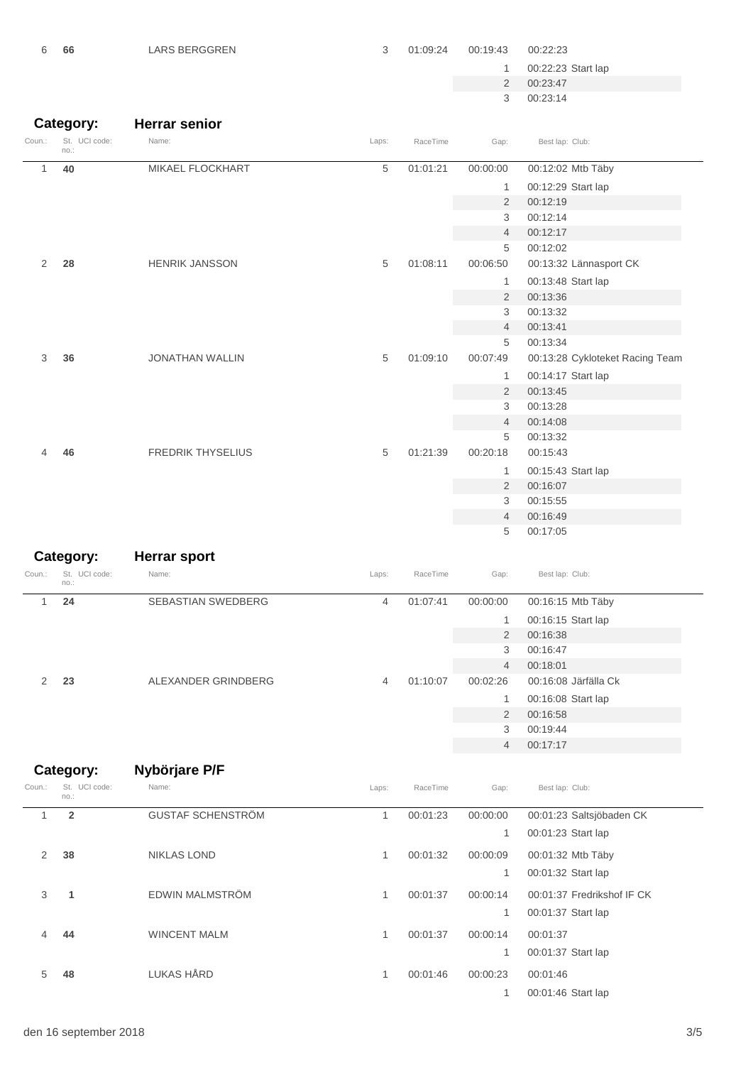| 6      | 66                    | <b>LARS BERGGREN</b>     | 3     | 01:09:24 | 00:19:43       | 00:22:23                        |
|--------|-----------------------|--------------------------|-------|----------|----------------|---------------------------------|
|        |                       |                          |       |          | 1              | 00:22:23 Start lap              |
|        |                       |                          |       |          | $\overline{2}$ | 00:23:47                        |
|        |                       |                          |       |          | 3              | 00:23:14                        |
|        |                       |                          |       |          |                |                                 |
|        | Category:             | <b>Herrar senior</b>     |       |          |                |                                 |
| Coun.: | St. UCI code:<br>no.: | Name:                    | Laps: | RaceTime | Gap:           | Best lap: Club:                 |
| 1      | 40                    | MIKAEL FLOCKHART         | 5     | 01:01:21 | 00:00:00       | 00:12:02 Mtb Täby               |
|        |                       |                          |       |          | 1              | 00:12:29 Start lap              |
|        |                       |                          |       |          | $\overline{2}$ | 00:12:19                        |
|        |                       |                          |       |          | 3              | 00:12:14                        |
|        |                       |                          |       |          | $\overline{4}$ | 00:12:17                        |
|        |                       |                          |       |          | 5              | 00:12:02                        |
| 2      | 28                    | <b>HENRIK JANSSON</b>    | 5     | 01:08:11 | 00:06:50       | 00:13:32 Lännasport CK          |
|        |                       |                          |       |          | 1              | 00:13:48 Start lap              |
|        |                       |                          |       |          | $\overline{2}$ | 00:13:36                        |
|        |                       |                          |       |          | 3              | 00:13:32                        |
|        |                       |                          |       |          | $\overline{4}$ | 00:13:41                        |
|        |                       |                          |       |          | 5              | 00:13:34                        |
| 3      | 36                    | <b>JONATHAN WALLIN</b>   | 5     | 01:09:10 | 00:07:49       | 00:13:28 Cykloteket Racing Team |
|        |                       |                          |       |          | 1              | 00:14:17 Start lap              |
|        |                       |                          |       |          | $\overline{2}$ | 00:13:45                        |
|        |                       |                          |       |          | 3              | 00:13:28                        |
|        |                       |                          |       |          | 4              | 00:14:08                        |
|        |                       |                          |       |          | 5              | 00:13:32                        |
|        | 46                    | <b>FREDRIK THYSELIUS</b> | 5     | 01:21:39 | 00:20:18       | 00:15:43                        |
|        |                       |                          |       |          | 1              | 00:15:43 Start lap              |
|        |                       |                          |       |          | 2              | 00:16:07                        |
|        |                       |                          |       |          | 3              | 00:15:55                        |
|        |                       |                          |       |          | $\overline{4}$ | 00:16:49                        |
|        |                       |                          |       |          | 5              | 00:17:05                        |

| Category: |                       | <b>Herrar sport</b>                              |                            |          |                |                      |
|-----------|-----------------------|--------------------------------------------------|----------------------------|----------|----------------|----------------------|
| Coun.:    | St. UCI code:<br>no.: | Name:                                            | Laps:                      | RaceTime | Gap:           | Best lap: Club:      |
| 24        |                       | <b>SEBASTIAN SWEDBERG</b>                        | 4                          | 01:07:41 | 00:00:00       | 00:16:15 Mtb Täby    |
|           |                       |                                                  |                            |          |                | 00:16:15 Start lap   |
|           |                       |                                                  | 00:16:38<br>$\overline{2}$ |          |                |                      |
|           |                       |                                                  |                            |          | 3              | 00:16:47<br>00:18:01 |
|           |                       |                                                  |                            |          | $\overline{4}$ |                      |
| 2         | 23                    | ALEXANDER GRINDBERG<br>01:10:07<br>00:02:26<br>4 |                            |          |                | 00:16:08 Järfälla Ck |
|           |                       |                                                  | 00:16:08 Start lap         |          |                |                      |
|           |                       |                                                  |                            |          | $\overline{2}$ | 00:16:58             |
|           |                       |                                                  |                            |          | 3              | 00:19:44             |
|           |                       |                                                  |                            |          | $\overline{4}$ | 00:17:17             |

### **Category: Nybörjare P/F**

| Coun.: | St. UCI code:<br>no.: | Name:                    | Laps: | RaceTime | Gap:     | Best lap: Club:            |
|--------|-----------------------|--------------------------|-------|----------|----------|----------------------------|
| 1      | $\overline{2}$        | <b>GUSTAF SCHENSTRÖM</b> |       | 00:01:23 | 00:00:00 | 00:01:23 Saltsjöbaden CK   |
|        |                       |                          |       |          | 1        | 00:01:23 Start lap         |
| 2      | 38                    | <b>NIKLAS LOND</b>       | 1     | 00:01:32 | 00:00:09 | 00:01:32 Mtb Täby          |
|        |                       |                          |       |          | 1        | 00:01:32 Start lap         |
| 3      | $\mathbf 1$           | EDWIN MALMSTRÖM          |       | 00:01:37 | 00:00:14 | 00:01:37 Fredrikshof IF CK |
|        |                       |                          |       |          | 1        | 00:01:37 Start lap         |
| 4      | 44                    | <b>WINCENT MALM</b>      | 1     | 00:01:37 | 00:00:14 | 00:01:37                   |
|        |                       |                          |       |          | 1        | 00:01:37 Start lap         |
| 5      | 48                    | LUKAS HÅRD               | 1     | 00:01:46 | 00:00:23 | 00:01:46                   |
|        |                       |                          |       |          |          | 00:01:46 Start lap         |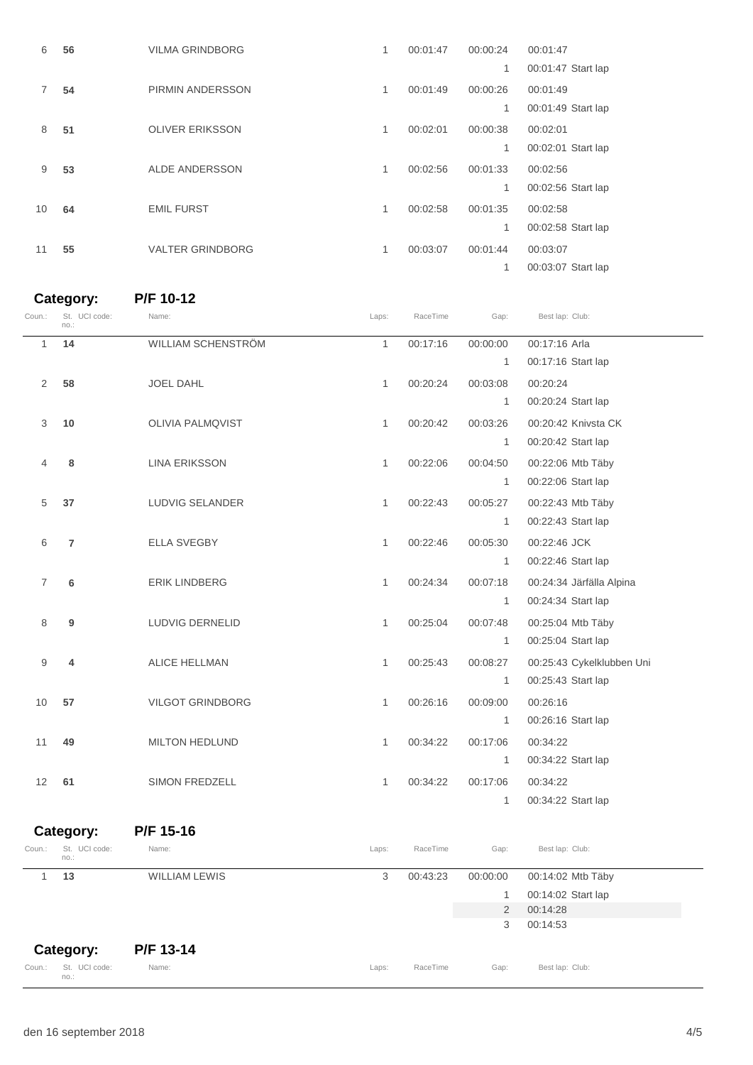| 6  | 56 | <b>VILMA GRINDBORG</b>  | 1            | 00:01:47 | 00:00:24 | 00:01:47           |
|----|----|-------------------------|--------------|----------|----------|--------------------|
|    |    |                         |              |          | 1        | 00:01:47 Start lap |
| 7  | 54 | PIRMIN ANDERSSON        | 1            | 00:01:49 | 00:00:26 | 00:01:49           |
|    |    |                         |              |          | 1        | 00:01:49 Start lap |
| 8  | 51 | <b>OLIVER ERIKSSON</b>  | 1            | 00:02:01 | 00:00:38 | 00:02:01           |
|    |    |                         |              |          | 1        | 00:02:01 Start lap |
| 9  | 53 | <b>ALDE ANDERSSON</b>   | $\mathbf{1}$ | 00:02:56 | 00:01:33 | 00:02:56           |
|    |    |                         |              |          | 1        | 00:02:56 Start lap |
| 10 | 64 | <b>EMIL FURST</b>       | 1            | 00:02:58 | 00:01:35 | 00:02:58           |
|    |    |                         |              |          | 1        | 00:02:58 Start lap |
| 11 | 55 | <b>VALTER GRINDBORG</b> | 1            | 00:03:07 | 00:01:44 | 00:03:07           |
|    |    |                         |              |          | 1        | 00:03:07 Start lap |

#### **Category: P/F 10-12**

| Coun.:    | St. UCI code:<br>no.: | Name:                   | Laps:        | RaceTime | Gap:           | Best lap: Club:           |
|-----------|-----------------------|-------------------------|--------------|----------|----------------|---------------------------|
| 1         | 14                    | WILLIAM SCHENSTRÖM      | $\mathbf{1}$ | 00:17:16 | 00:00:00       | 00:17:16 Arla             |
|           |                       |                         |              |          | 1              | 00:17:16 Start lap        |
| 2         | 58                    | <b>JOEL DAHL</b>        | 1            | 00:20:24 | 00:03:08       | 00:20:24                  |
|           |                       |                         |              |          | 1              | 00:20:24 Start lap        |
| 3         | 10                    | <b>OLIVIA PALMQVIST</b> | 1            | 00:20:42 | 00:03:26       | 00:20:42 Knivsta CK       |
|           |                       |                         |              |          | $\mathbf{1}$   | 00:20:42 Start lap        |
| 4         | 8                     | LINA ERIKSSON           | $\mathbf{1}$ | 00:22:06 | 00:04:50       | 00:22:06 Mtb Täby         |
|           |                       |                         |              |          | 1              | 00:22:06 Start lap        |
| 5         | 37                    | LUDVIG SELANDER         | $\mathbf{1}$ | 00:22:43 | 00:05:27       | 00:22:43 Mtb Täby         |
|           |                       |                         |              |          | $\mathbf{1}$   | 00:22:43 Start lap        |
| 6         | 7                     | <b>ELLA SVEGBY</b>      | $\mathbf{1}$ | 00:22:46 | 00:05:30       | 00:22:46 JCK              |
|           |                       |                         |              |          | 1              | 00:22:46 Start lap        |
| 7         | 6                     | <b>ERIK LINDBERG</b>    | 1            | 00:24:34 | 00:07:18       | 00:24:34 Järfälla Alpina  |
|           |                       |                         |              |          | 1              | 00:24:34 Start lap        |
| 8         | 9                     | LUDVIG DERNELID         | $\mathbf{1}$ | 00:25:04 | 00:07:48       | 00:25:04 Mtb Täby         |
|           |                       |                         |              |          | $\mathbf{1}$   | 00:25:04 Start lap        |
| 9         | 4                     | ALICE HELLMAN           | $\mathbf{1}$ | 00:25:43 | 00:08:27       | 00:25:43 Cykelklubben Uni |
|           |                       |                         |              |          | 1              | 00:25:43 Start lap        |
| 10        | 57                    | <b>VILGOT GRINDBORG</b> | $\mathbf{1}$ | 00:26:16 | 00:09:00       | 00:26:16                  |
|           |                       |                         |              |          | 1              | 00:26:16 Start lap        |
| 11        | 49                    | MILTON HEDLUND          | $\mathbf{1}$ | 00:34:22 | 00:17:06       | 00:34:22                  |
|           |                       |                         |              |          | 1              | 00:34:22 Start lap        |
| 12        | 61                    | SIMON FREDZELL          | $\mathbf{1}$ | 00:34:22 | 00:17:06       | 00:34:22                  |
|           |                       |                         |              |          | 1              | 00:34:22 Start lap        |
|           |                       |                         |              |          |                |                           |
| Category: |                       | P/F 15-16               |              |          |                |                           |
| Coun.:    | St. UCI code:<br>no.: | Name:                   | Laps:        | RaceTime | Gap:           | Best lap: Club:           |
| 1         | 13                    | <b>WILLIAM LEWIS</b>    | 3            | 00:43:23 | 00:00:00       | 00:14:02 Mtb Täby         |
|           |                       |                         |              |          | 1              | 00:14:02 Start lap        |
|           |                       |                         |              |          | $\overline{2}$ | 00:14:28                  |
|           |                       |                         |              |          | 3              | 00:14:53                  |

### **Category: P/F 13-14**

St. no.: Name: extending the contract of the countries of the contract contract contract contract contract contract contract contract contract contract contract contract contract contract contract contract contract contract contrac